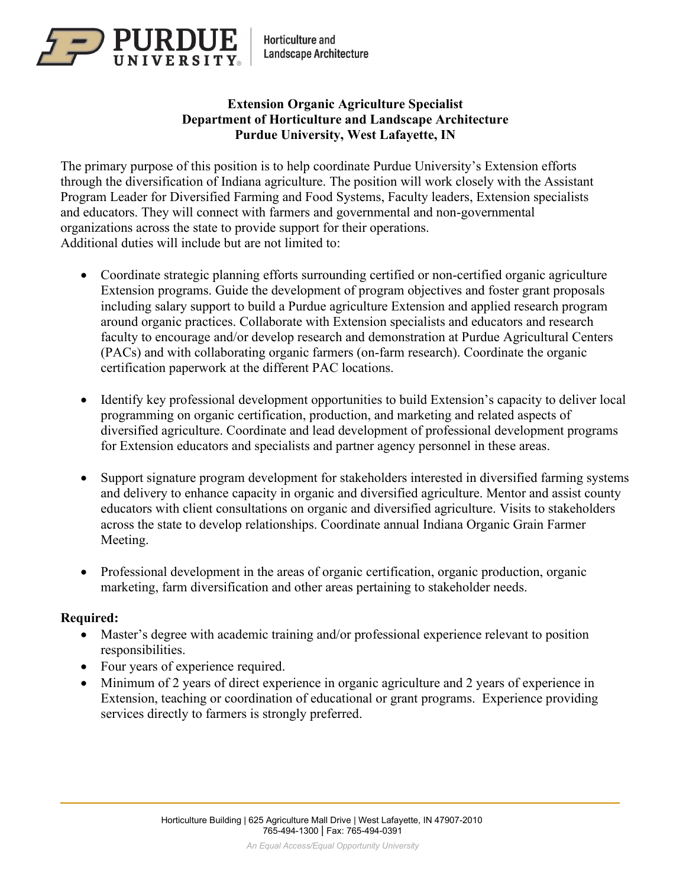

**Horticulture and Landscape Architecture** 

### **Extension Organic Agriculture Specialist Department of Horticulture and Landscape Architecture Purdue University, West Lafayette, IN**

The primary purpose of this position is to help coordinate Purdue University's Extension efforts through the diversification of Indiana agriculture. The position will work closely with the Assistant Program Leader for Diversified Farming and Food Systems, Faculty leaders, Extension specialists and educators. They will connect with farmers and governmental and non-governmental organizations across the state to provide support for their operations. Additional duties will include but are not limited to:

- Coordinate strategic planning efforts surrounding certified or non-certified organic agriculture Extension programs. Guide the development of program objectives and foster grant proposals including salary support to build a Purdue agriculture Extension and applied research program around organic practices. Collaborate with Extension specialists and educators and research faculty to encourage and/or develop research and demonstration at Purdue Agricultural Centers (PACs) and with collaborating organic farmers (on-farm research). Coordinate the organic certification paperwork at the different PAC locations.
- Identify key professional development opportunities to build Extension's capacity to deliver local programming on organic certification, production, and marketing and related aspects of diversified agriculture. Coordinate and lead development of professional development programs for Extension educators and specialists and partner agency personnel in these areas.
- Support signature program development for stakeholders interested in diversified farming systems and delivery to enhance capacity in organic and diversified agriculture. Mentor and assist county educators with client consultations on organic and diversified agriculture. Visits to stakeholders across the state to develop relationships. Coordinate annual Indiana Organic Grain Farmer Meeting.
- Professional development in the areas of organic certification, organic production, organic marketing, farm diversification and other areas pertaining to stakeholder needs.

#### **Required:**

- Master's degree with academic training and/or professional experience relevant to position responsibilities.
- Four years of experience required.
- Minimum of 2 years of direct experience in organic agriculture and 2 years of experience in Extension, teaching or coordination of educational or grant programs. Experience providing services directly to farmers is strongly preferred.